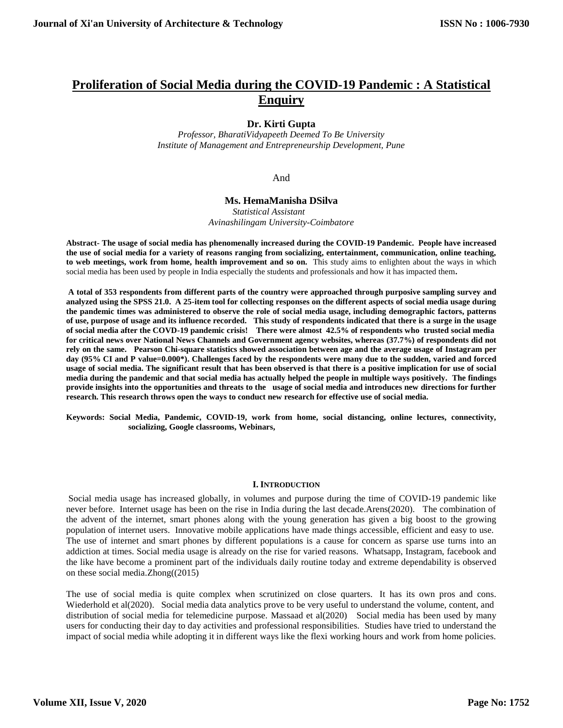# **Proliferation of Social Media during the COVID-19 Pandemic : A Statistical Enquiry**

## **Dr. Kirti Gupta**

*Professor, BharatiVidyapeeth Deemed To Be University Institute of Management and Entrepreneurship Development, Pune*

## And

## **Ms. HemaManisha DSilva**

*Statistical Assistant Avinashilingam University-Coimbatore*

**Abstract- The usage of social media has phenomenally increased during the COVID-19 Pandemic. People have increased the use of social media for a variety of reasons ranging from socializing, entertainment, communication, online teaching,**  to web meetings, work from home, health improvement and so on. This study aims to enlighten about the ways in which social media has been used by people in India especially the students and professionals and how it has impacted them**.** 

**A total of 353 respondents from different parts of the country were approached through purposive sampling survey and analyzed using the SPSS 21.0. A 25-item tool for collecting responses on the different aspects of social media usage during the pandemic times was administered to observe the role of social media usage, including demographic factors, patterns of use, purpose of usage and its influence recorded. This study of respondents indicated that there is a surge in the usage of social media after the COVD-19 pandemic crisis! There were almost 42.5% of respondents who trusted social media for critical news over National News Channels and Government agency websites, whereas (37.7%) of respondents did not rely on the same. Pearson Chi-square statistics showed association between age and the average usage of Instagram per day (95% CI and P value=0.000\*). Challenges faced by the respondents were many due to the sudden, varied and forced usage of social media. The significant result that has been observed is that there is a positive implication for use of social media during the pandemic and that social media has actually helped the people in multiple ways positively. The findings provide insights into the opportunities and threats to the usage of social media and introduces new directions for further research. This research throws open the ways to conduct new research for effective use of social media.**

**Keywords: Social Media, Pandemic, COVID-19, work from home, social distancing, online lectures, connectivity, socializing, Google classrooms, Webinars,**

#### **I. INTRODUCTION**

Social media usage has increased globally, in volumes and purpose during the time of COVID-19 pandemic like never before. Internet usage has been on the rise in India during the last decade.Arens(2020). The combination of the advent of the internet, smart phones along with the young generation has given a big boost to the growing population of internet users. Innovative mobile applications have made things accessible, efficient and easy to use. The use of internet and smart phones by different populations is a cause for concern as sparse use turns into an addiction at times. Social media usage is already on the rise for varied reasons. Whatsapp, Instagram, facebook and the like have become a prominent part of the individuals daily routine today and extreme dependability is observed on these social media.Zhong((2015)

The use of social media is quite complex when scrutinized on close quarters. It has its own pros and cons. Wiederhold et al(2020). Social media data analytics prove to be very useful to understand the volume, content, and distribution of social media for telemedicine purpose. Massaad et al(2020) Social media has been used by many users for conducting their day to day activities and professional responsibilities. Studies have tried to understand the impact of social media while adopting it in different ways like the flexi working hours and work from home policies.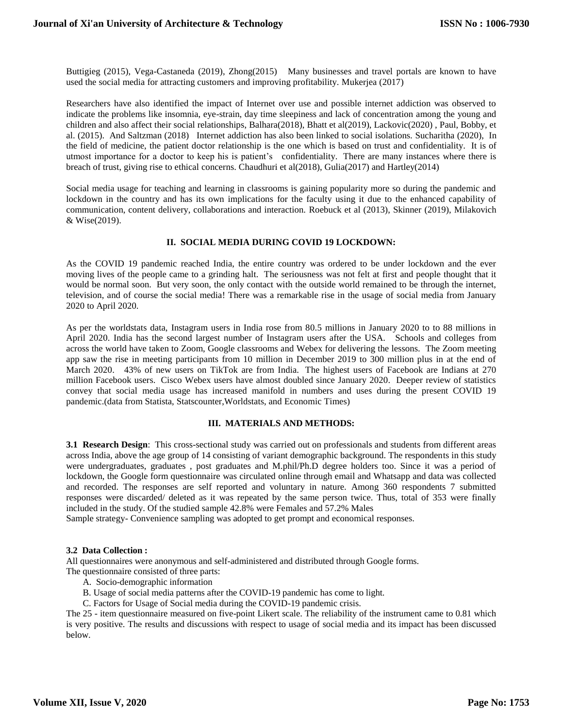Buttigieg (2015), Vega-Castaneda (2019), Zhong(2015) Many businesses and travel portals are known to have used the social media for attracting customers and improving profitability. Mukerjea (2017)

Researchers have also identified the impact of Internet over use and possible internet addiction was observed to indicate the problems like insomnia, eye-strain, day time sleepiness and lack of concentration among the young and children and also affect their social relationships, Balhara(2018), Bhatt et al(2019), Lackovic(2020) , Paul, Bobby, et al. (2015). And Saltzman (2018) Internet addiction has also been linked to social isolations. Sucharitha (2020), In the field of medicine, the patient doctor relationship is the one which is based on trust and confidentiality. It is of utmost importance for a doctor to keep his is patient's confidentiality. There are many instances where there is breach of trust, giving rise to ethical concerns. Chaudhuri et al(2018), Gulia(2017) and Hartley(2014)

Social media usage for teaching and learning in classrooms is gaining popularity more so during the pandemic and lockdown in the country and has its own implications for the faculty using it due to the enhanced capability of communication, content delivery, collaborations and interaction. Roebuck et al (2013), Skinner (2019), Milakovich & Wise(2019).

## **II. SOCIAL MEDIA DURING COVID 19 LOCKDOWN:**

As the COVID 19 pandemic reached India, the entire country was ordered to be under lockdown and the ever moving lives of the people came to a grinding halt. The seriousness was not felt at first and people thought that it would be normal soon. But very soon, the only contact with the outside world remained to be through the internet, television, and of course the social media! There was a remarkable rise in the usage of social media from January 2020 to April 2020.

As per the worldstats data, Instagram users in India rose from 80.5 millions in January 2020 to to 88 millions in April 2020. India has the second largest number of Instagram users after the USA. Schools and colleges from across the world have taken to Zoom, Google classrooms and Webex for delivering the lessons. The Zoom meeting app saw the rise in meeting participants from 10 million in December 2019 to 300 million plus in at the end of March 2020. 43% of new users on TikTok are from India. The highest users of Facebook are Indians at 270 million Facebook users. Cisco Webex users have almost doubled since January 2020. Deeper review of statistics convey that social media usage has increased manifold in numbers and uses during the present COVID 19 pandemic.(data from Statista, Statscounter,Worldstats, and Economic Times)

### **III. MATERIALS AND METHODS:**

**3.1 Research Design**: This cross-sectional study was carried out on professionals and students from different areas across India, above the age group of 14 consisting of variant demographic background. The respondents in this study were undergraduates, graduates , post graduates and M.phil/Ph.D degree holders too. Since it was a period of lockdown, the Google form questionnaire was circulated online through email and Whatsapp and data was collected and recorded. The responses are self reported and voluntary in nature. Among 360 respondents 7 submitted responses were discarded/ deleted as it was repeated by the same person twice. Thus, total of 353 were finally included in the study. Of the studied sample 42.8% were Females and 57.2% Males

Sample strategy- Convenience sampling was adopted to get prompt and economical responses.

### **3.2 Data Collection :**

All questionnaires were anonymous and self-administered and distributed through Google forms. The questionnaire consisted of three parts:

- A. Socio-demographic information
- B. Usage of social media patterns after the COVID-19 pandemic has come to light.
- C. Factors for Usage of Social media during the COVID-19 pandemic crisis.

The 25 - item questionnaire measured on five-point Likert scale. The reliability of the instrument came to 0.81 which is very positive. The results and discussions with respect to usage of social media and its impact has been discussed below.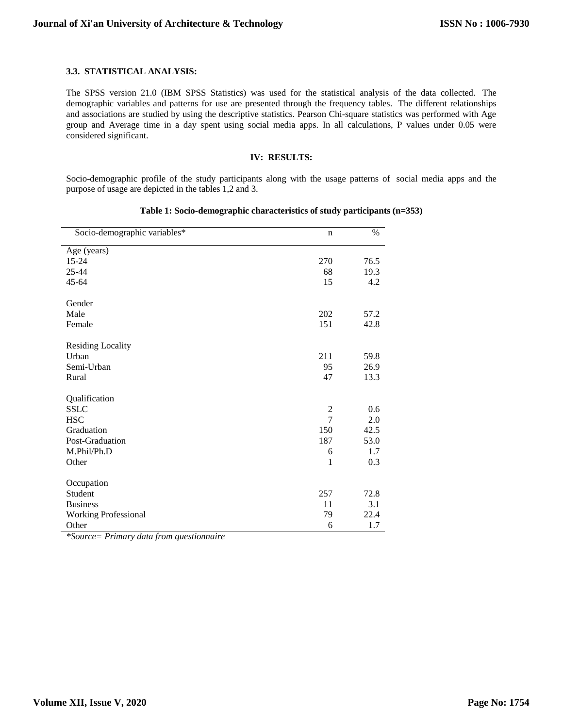## **3.3. STATISTICAL ANALYSIS:**

The SPSS version 21.0 (IBM SPSS Statistics) was used for the statistical analysis of the data collected. The demographic variables and patterns for use are presented through the frequency tables. The different relationships and associations are studied by using the descriptive statistics. Pearson Chi-square statistics was performed with Age group and Average time in a day spent using social media apps. In all calculations, P values under 0.05 were considered significant.

## **IV: RESULTS:**

Socio-demographic profile of the study participants along with the usage patterns of social media apps and the purpose of usage are depicted in the tables 1,2 and 3.

| Socio-demographic variables* | $\mathbf n$    | $\%$ |
|------------------------------|----------------|------|
| Age (years)                  |                |      |
| 15-24                        | 270            | 76.5 |
| 25-44                        | 68             | 19.3 |
| 45-64                        | 15             | 4.2  |
| Gender                       |                |      |
| Male                         | 202            | 57.2 |
| Female                       | 151            | 42.8 |
| <b>Residing Locality</b>     |                |      |
| Urban                        | 211            | 59.8 |
| Semi-Urban                   | 95             | 26.9 |
| Rural                        | 47             | 13.3 |
| Qualification                |                |      |
| <b>SSLC</b>                  | $\mathfrak{2}$ | 0.6  |
| <b>HSC</b>                   | $\overline{7}$ | 2.0  |
| Graduation                   | 150            | 42.5 |
| Post-Graduation              | 187            | 53.0 |
| M.Phil/Ph.D                  | 6              | 1.7  |
| Other                        | 1              | 0.3  |
| Occupation                   |                |      |
| Student                      | 257            | 72.8 |
| <b>Business</b>              | 11             | 3.1  |
| <b>Working Professional</b>  | 79             | 22.4 |
| Other                        | 6              | 1.7  |

### **Table 1: Socio-demographic characteristics of study participants (n=353)**

*\*Source= Primary data from questionnaire*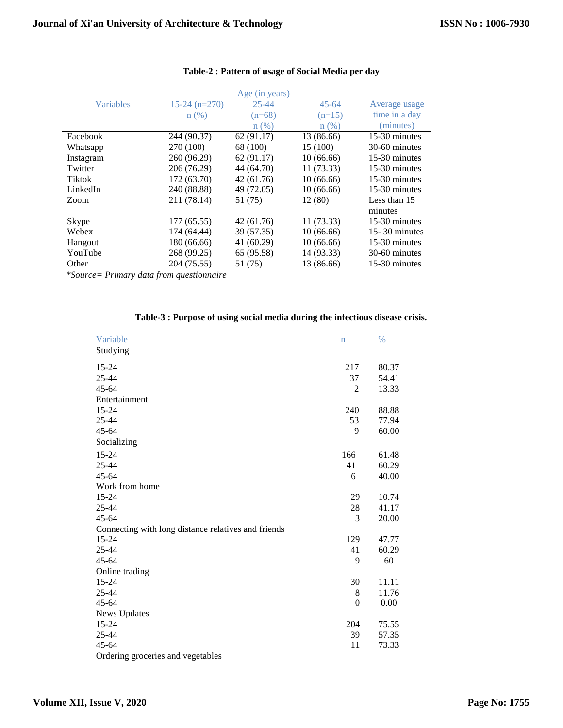|                  |                 | Age (in years) |            |                   |
|------------------|-----------------|----------------|------------|-------------------|
| <b>Variables</b> | $15-24$ (n=270) | $25 - 44$      | $45 - 64$  | Average usage     |
|                  | $n(\%)$         | $(n=68)$       | $(n=15)$   | time in a day     |
|                  |                 | $n$ $(\%)$     | $n(\%)$    | (minutes)         |
| Facebook         | 244 (90.37)     | 62(91.17)      | 13 (86.66) | 15-30 minutes     |
| Whatsapp         | 270 (100)       | 68 (100)       | 15 (100)   | 30-60 minutes     |
| Instagram        | 260 (96.29)     | 62(91.17)      | 10(66.66)  | 15-30 minutes     |
| Twitter          | 206 (76.29)     | 44 (64.70)     | 11(73.33)  | 15-30 minutes     |
| <b>Tiktok</b>    | 172 (63.70)     | 42(61.76)      | 10(66.66)  | 15-30 minutes     |
| LinkedIn         | 240 (88.88)     | 49 (72.05)     | 10(66.66)  | 15-30 minutes     |
| Zoom             | 211 (78.14)     | 51 (75)        | 12(80)     | Less than 15      |
|                  |                 |                |            | minutes           |
| Skype            | 177 (65.55)     | 42 (61.76)     | 11 (73.33) | 15-30 minutes     |
| Webex            | 174 (64.44)     | 39 (57.35)     | 10(66.66)  | $15 - 30$ minutes |
| Hangout          | 180 (66.66)     | 41(60.29)      | 10(66.66)  | 15-30 minutes     |
| YouTube          | 268 (99.25)     | 65 (95.58)     | 14 (93.33) | 30-60 minutes     |
| Other            | 204 (75.55)     | 51 (75)        | 13 (86.66) | 15-30 minutes     |

## **Table-2 : Pattern of usage of Social Media per day**

*\*Source= Primary data from questionnaire*

| Variable                                            | $\mathbf n$ | $\%$  |
|-----------------------------------------------------|-------------|-------|
| Studying                                            |             |       |
| 15-24                                               | 217         | 80.37 |
| 25-44                                               | 37          | 54.41 |
| $45 - 64$                                           | 2           | 13.33 |
| Entertainment                                       |             |       |
| 15-24                                               | 240         | 88.88 |
| 25-44                                               | 53          | 77.94 |
| $45 - 64$                                           | 9           | 60.00 |
| Socializing                                         |             |       |
| 15-24                                               | 166         | 61.48 |
| 25-44                                               | 41          | 60.29 |
| 45-64                                               | 6           | 40.00 |
| Work from home                                      |             |       |
| 15-24                                               | 29          | 10.74 |
| 25-44                                               | 28          | 41.17 |
| $45 - 64$                                           | 3           | 20.00 |
| Connecting with long distance relatives and friends |             |       |
| 15-24                                               | 129         | 47.77 |
| 25-44                                               | 41          | 60.29 |
| $45 - 64$                                           | 9           | 60    |
| Online trading                                      |             |       |
| 15-24                                               | 30          | 11.11 |
| 25-44                                               | 8           | 11.76 |
| $45 - 64$                                           | $\theta$    | 0.00  |
| <b>News Updates</b>                                 |             |       |
| 15-24                                               | 204         | 75.55 |
| 25-44                                               | 39          | 57.35 |
| 45-64                                               | 11          | 73.33 |
| Ordering groceries and vegetables                   |             |       |

## **Table-3 : Purpose of using social media during the infectious disease crisis.**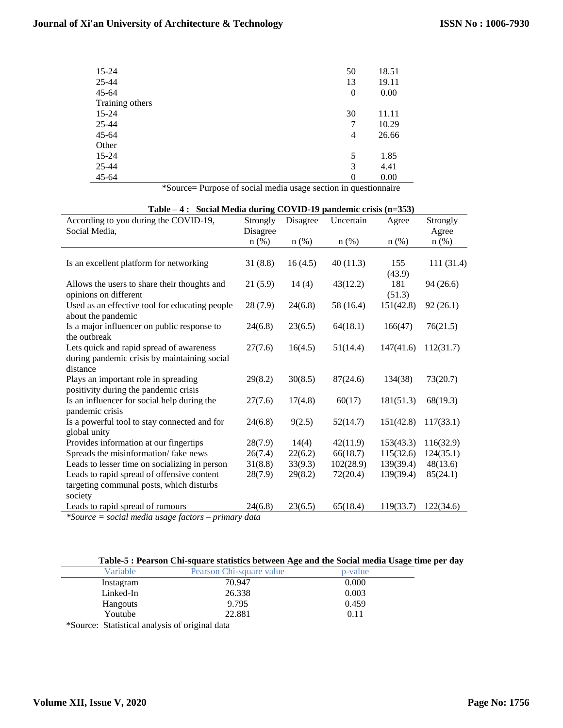## **Journal of Xi'an University of Architecture & Technology**

| $15 - 24$       | 50               | 18.51 |
|-----------------|------------------|-------|
| $25 - 44$       | 13               | 19.11 |
| $45 - 64$       | $\boldsymbol{0}$ | 0.00  |
| Training others |                  |       |
| $15 - 24$       | 30               | 11.11 |
| $25 - 44$       | 7                | 10.29 |
| $45 - 64$       | 4                | 26.66 |
| Other           |                  |       |
| $15 - 24$       | 5                | 1.85  |
| $25 - 44$       | 3                | 4.41  |
| $45 - 64$       | $\theta$         | 0.00  |

\*Source= Purpose of social media usage section in questionnaire

| Table – 4: Social Media during COVID-19 pandemic crisis (n=353) |          |          |           |           |            |
|-----------------------------------------------------------------|----------|----------|-----------|-----------|------------|
| According to you during the COVID-19,                           | Strongly | Disagree | Uncertain | Agree     | Strongly   |
| Social Media,                                                   | Disagree |          |           |           | Agree      |
|                                                                 | $n$ (%)  | $n$ (%)  | $n$ (%)   | $n$ (%)   | $n$ (%)    |
|                                                                 |          |          |           |           |            |
| Is an excellent platform for networking                         | 31(8.8)  | 16(4.5)  | 40(11.3)  | 155       | 111 (31.4) |
|                                                                 |          |          |           | (43.9)    |            |
| Allows the users to share their thoughts and                    | 21(5.9)  | 14(4)    | 43(12.2)  | 181       | 94(26.6)   |
| opinions on different                                           |          |          |           | (51.3)    |            |
| Used as an effective tool for educating people                  | 28(7.9)  | 24(6.8)  | 58 (16.4) | 151(42.8) | 92(26.1)   |
| about the pandemic                                              |          |          |           |           |            |
| Is a major influencer on public response to                     | 24(6.8)  | 23(6.5)  | 64(18.1)  | 166(47)   | 76(21.5)   |
| the outbreak                                                    |          |          |           |           |            |
| Lets quick and rapid spread of awareness                        | 27(7.6)  | 16(4.5)  | 51(14.4)  | 147(41.6) | 112(31.7)  |
| during pandemic crisis by maintaining social                    |          |          |           |           |            |
| distance                                                        |          |          |           |           |            |
| Plays an important role in spreading                            | 29(8.2)  | 30(8.5)  | 87(24.6)  | 134(38)   | 73(20.7)   |
| positivity during the pandemic crisis                           |          |          |           |           |            |
| Is an influencer for social help during the                     | 27(7.6)  | 17(4.8)  | 60(17)    | 181(51.3) | 68(19.3)   |
| pandemic crisis                                                 |          |          |           |           |            |
| Is a powerful tool to stay connected and for                    | 24(6.8)  | 9(2.5)   | 52(14.7)  | 151(42.8) | 117(33.1)  |
| global unity                                                    |          |          |           |           |            |
| Provides information at our fingertips                          | 28(7.9)  | 14(4)    | 42(11.9)  | 153(43.3) | 116(32.9)  |
| Spreads the misinformation/ fake news                           | 26(7.4)  | 22(6.2)  | 66(18.7)  | 115(32.6) | 124(35.1)  |
| Leads to lesser time on socializing in person                   | 31(8.8)  | 33(9.3)  | 102(28.9) | 139(39.4) | 48(13.6)   |
| Leads to rapid spread of offensive content                      | 28(7.9)  | 29(8.2)  | 72(20.4)  | 139(39.4) | 85(24.1)   |
| targeting communal posts, which disturbs                        |          |          |           |           |            |
| society                                                         |          |          |           |           |            |
| Leads to rapid spread of rumours                                | 24(6.8)  | 23(6.5)  | 65(18.4)  | 119(33.7) | 122(34.6)  |

*\*Source = social media usage factors – primary data*

| Variable  | Pearson Chi-square value | p-value |
|-----------|--------------------------|---------|
| Instagram | 70.947                   | 0.000   |
| Linked-In | 26.338                   | 0.003   |
| Hangouts  | 9.795                    | 0.459   |
| Youtube   | 22.881                   | 0.11    |

\*Source: Statistical analysis of original data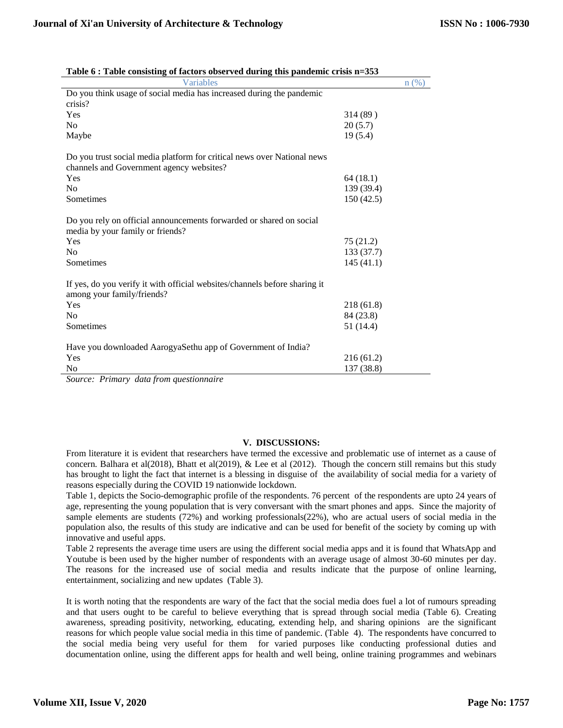| <b>Variables</b>                                                                                         |            | n(%) |
|----------------------------------------------------------------------------------------------------------|------------|------|
| Do you think usage of social media has increased during the pandemic                                     |            |      |
| crisis?                                                                                                  |            |      |
| Yes                                                                                                      | 314 (89)   |      |
| N <sub>o</sub>                                                                                           | 20(5.7)    |      |
| Maybe                                                                                                    | 19(5.4)    |      |
| Do you trust social media platform for critical news over National news                                  |            |      |
| channels and Government agency websites?                                                                 |            |      |
| Yes                                                                                                      | 64(18.1)   |      |
| N <sub>o</sub>                                                                                           | 139 (39.4) |      |
| Sometimes                                                                                                | 150(42.5)  |      |
| Do you rely on official announcements forwarded or shared on social<br>media by your family or friends?  |            |      |
| Yes                                                                                                      | 75 (21.2)  |      |
| N <sub>0</sub>                                                                                           | 133 (37.7) |      |
| Sometimes                                                                                                | 145(41.1)  |      |
| If yes, do you verify it with official websites/channels before sharing it<br>among your family/friends? |            |      |
| Yes                                                                                                      | 218 (61.8) |      |
| N <sub>0</sub>                                                                                           | 84 (23.8)  |      |
| Sometimes                                                                                                | 51 (14.4)  |      |
| Have you downloaded AarogyaSethu app of Government of India?                                             |            |      |
| Yes                                                                                                      | 216 (61.2) |      |
| N <sub>o</sub>                                                                                           | 137 (38.8) |      |
| Source: Primary data from questionnaire                                                                  |            |      |

| Table 6 : Table consisting of factors observed during this pandemic crisis n=353 |
|----------------------------------------------------------------------------------|
|----------------------------------------------------------------------------------|

*Source: Primary data from questionnaire*

## **V. DISCUSSIONS:**

From literature it is evident that researchers have termed the excessive and problematic use of internet as a cause of concern. Balhara et al(2018), Bhatt et al(2019), & Lee et al (2012). Though the concern still remains but this study has brought to light the fact that internet is a blessing in disguise of the availability of social media for a variety of reasons especially during the COVID 19 nationwide lockdown.

Table 1, depicts the Socio-demographic profile of the respondents. 76 percent of the respondents are upto 24 years of age, representing the young population that is very conversant with the smart phones and apps. Since the majority of sample elements are students (72%) and working professionals(22%), who are actual users of social media in the population also, the results of this study are indicative and can be used for benefit of the society by coming up with innovative and useful apps.

Table 2 represents the average time users are using the different social media apps and it is found that WhatsApp and Youtube is been used by the higher number of respondents with an average usage of almost 30-60 minutes per day. The reasons for the increased use of social media and results indicate that the purpose of online learning, entertainment, socializing and new updates (Table 3).

It is worth noting that the respondents are wary of the fact that the social media does fuel a lot of rumours spreading and that users ought to be careful to believe everything that is spread through social media (Table 6). Creating awareness, spreading positivity, networking, educating, extending help, and sharing opinions are the significant reasons for which people value social media in this time of pandemic. (Table 4). The respondents have concurred to the social media being very useful for them for varied purposes like conducting professional duties and documentation online, using the different apps for health and well being, online training programmes and webinars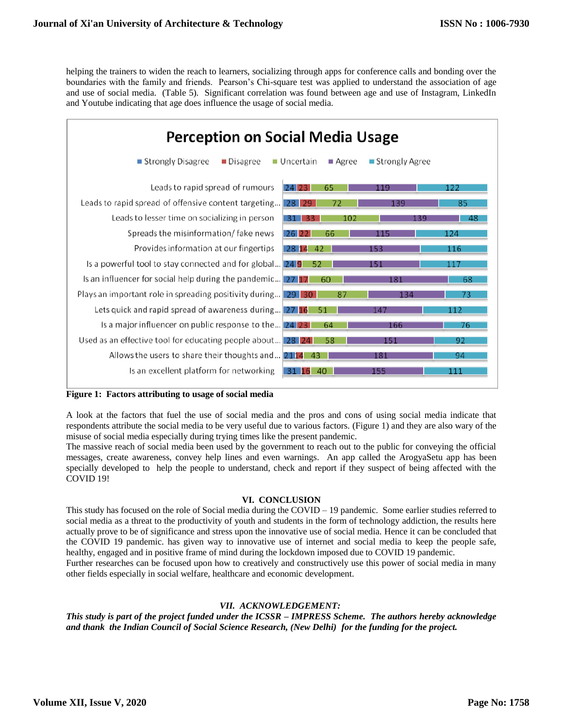helping the trainers to widen the reach to learners, socializing through apps for conference calls and bonding over the boundaries with the family and friends. Pearson's Chi-square test was applied to understand the association of age and use of social media. (Table 5). Significant correlation was found between age and use of Instagram, LinkedIn and Youtube indicating that age does influence the usage of social media.

| <b>Perception on Social Media Usage</b>                             |                                                  |                  |     |  |
|---------------------------------------------------------------------|--------------------------------------------------|------------------|-----|--|
| ■ Strongly Disagree<br>$\blacksquare$ Disagree                      | $\blacksquare$ Uncertain<br>$\blacksquare$ Agree | ■ Strongly Agree |     |  |
| Leads to rapid spread of rumours                                    | $24$ 23<br>65                                    | 119              | 122 |  |
| Leads to rapid spread of offensive content targeting 28 29          | 72                                               | 139              | 85  |  |
| Leads to lesser time on socializing in person                       | 102<br>31 33                                     | 139              | 48  |  |
| Spreads the misinformation/fake news                                | $26$ $22$<br>66                                  | 115              | 124 |  |
| Provides information at our fingertips                              | 28 14<br>42                                      | 153              | 116 |  |
| Is a powerful tool to stay connected and for global 24 9            | 52                                               | 151              | 117 |  |
| Is an influencer for social help during the pandemic 27 17          | 60                                               | 181              | 68  |  |
| <b>Plays an important role in spreading positivity during</b> 29 30 | 87                                               | 134              | 73  |  |
| Lets quick and rapid spread of awareness during 27 16               | 51                                               | 147              | 112 |  |
| Is a major influencer on public response to the 24 23               | 64                                               | 166              | 76  |  |
| Used as an effective tool for educating people about 28 24          | 58                                               | 151              | 92  |  |
| Allows the users to share their thoughts and 2114                   | -43                                              | 181              | 94  |  |
| Is an excellent platform for networking                             | 40<br>31 16                                      | 155              | 111 |  |

**Figure 1: Factors attributing to usage of social media** 

A look at the factors that fuel the use of social media and the pros and cons of using social media indicate that respondents attribute the social media to be very useful due to various factors. (Figure 1) and they are also wary of the misuse of social media especially during trying times like the present pandemic.

The massive reach of social media been used by the government to reach out to the public for conveying the official messages, create awareness, convey help lines and even warnings. An app called the ArogyaSetu app has been specially developed to help the people to understand, check and report if they suspect of being affected with the COVID 19!

## **VI. CONCLUSION**

This study has focused on the role of Social media during the COVID – 19 pandemic. Some earlier studies referred to social media as a threat to the productivity of youth and students in the form of technology addiction, the results here actually prove to be of significance and stress upon the innovative use of social media. Hence it can be concluded that the COVID 19 pandemic. has given way to innovative use of internet and social media to keep the people safe, healthy, engaged and in positive frame of mind during the lockdown imposed due to COVID 19 pandemic. Further researches can be focused upon how to creatively and constructively use this power of social media in many other fields especially in social welfare, healthcare and economic development.

## *VII. ACKNOWLEDGEMENT:*

*This study is part of the project funded under the ICSSR – IMPRESS Scheme. The authors hereby acknowledge and thank the Indian Council of Social Science Research, (New Delhi) for the funding for the project.*